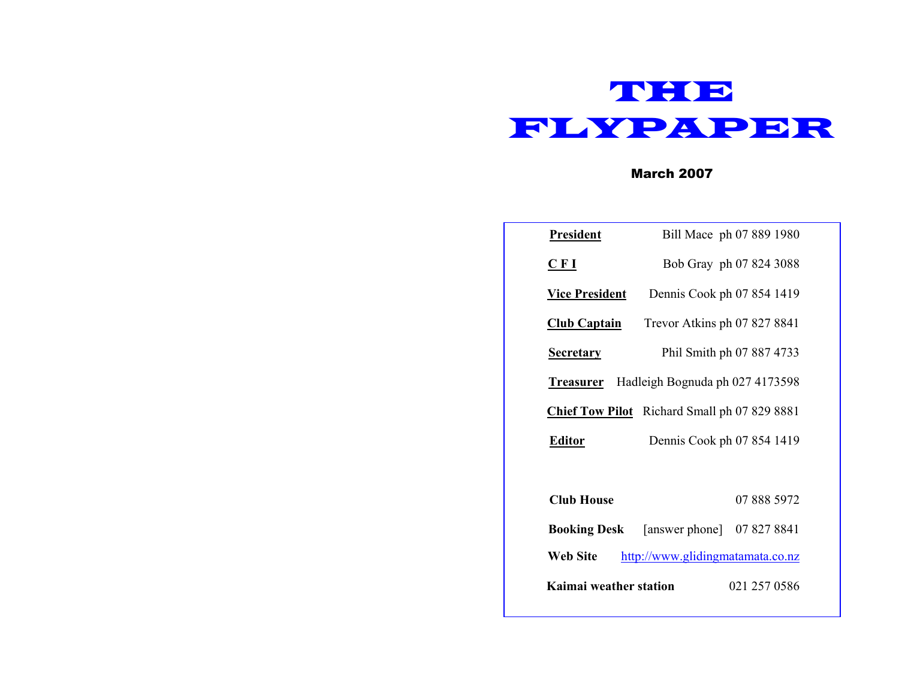

March 2007

| President                                           | Bill Mace ph 07 889 1980                       |  |  |
|-----------------------------------------------------|------------------------------------------------|--|--|
| CFI                                                 | Bob Gray ph 07 824 3088                        |  |  |
| <b>Vice President</b>                               | Dennis Cook ph 07 854 1419                     |  |  |
| <u> Club Captain</u>                                | Trevor Atkins ph 07 827 8841                   |  |  |
| <b>Secretary</b>                                    | Phil Smith ph 07 887 4733                      |  |  |
| <b>Treasurer</b> Hadleigh Bognuda ph 027 4173598    |                                                |  |  |
| <b>Chief Tow Pilot</b> Richard Small ph 07 829 8881 |                                                |  |  |
| Dennis Cook ph 07 854 1419<br><b>Editor</b>         |                                                |  |  |
|                                                     |                                                |  |  |
| <b>Club House</b>                                   | 07 888 5972                                    |  |  |
|                                                     | <b>Booking Desk</b> [answer phone] 07 827 8841 |  |  |
| <b>Web Site</b><br>http://www.glidingmatamata.co.nz |                                                |  |  |
| Kaimai weather station<br>021 257 0586              |                                                |  |  |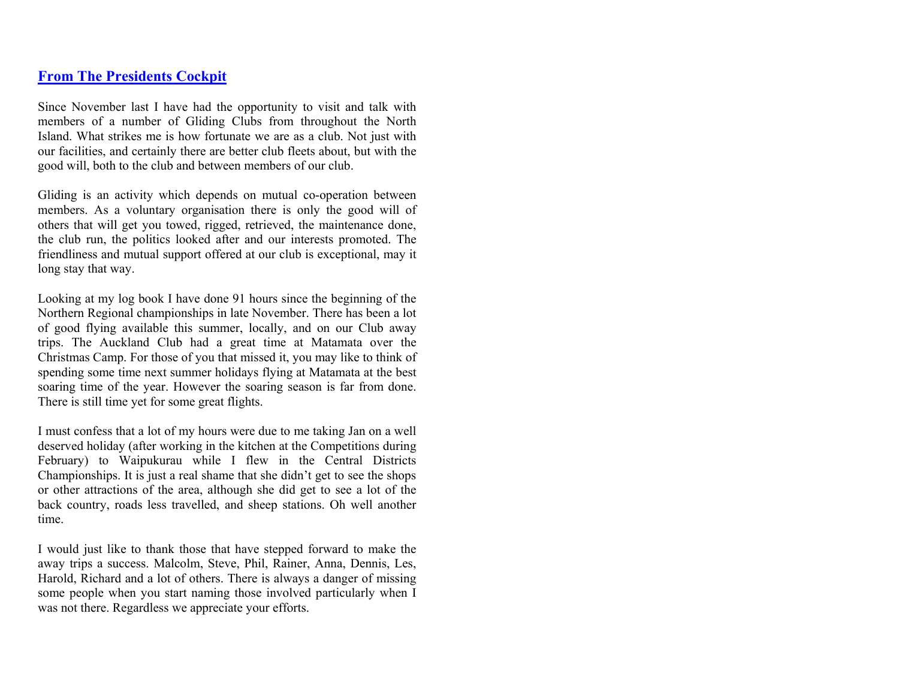### **From The Presidents Cockpit**

Since November last I have had the opportunity to visit and talk with members of a number of Gliding Clubs from throughout the North Island. What strikes me is how fortunate we are as a club. Not just with our facilities, and certainly there are better club fleets about, but with the good will, both to the club and between members of our club.

Gliding is an activity which depends on mutual co-operation between members. As a voluntary organisation there is only the good will of others that will get you towed, rigged, retrieved, the maintenance done, the club run, the politics looked after and our interests promoted. The friendliness and mutual support offered at our club is exceptional, may it long stay that way.

Looking at my log book I have done 91 hours since the beginning of the Northern Regional championships in late November. There has been a lot of good flying available this summer, locally, and on our Club away trips. The Auckland Club had a great time at Matamata over the Christmas Camp. For those of you that missed it, you may like to think of spending some time next summer holidays flying at Matamata at the best soaring time of the year. However the soaring season is far from done. There is still time yet for some great flights.

I must confess that a lot of my hours were due to me taking Jan on a well deserved holiday (after working in the kitchen at the Competitions during February) to Waipukurau while I flew in the Central Districts Championships. It is just a real shame that she didn't get to see the shops or other attractions of the area, although she did get to see a lot of the back country, roads less travelled, and sheep stations. Oh well another time.

I would just like to thank those that have stepped forward to make the away trips a success. Malcolm, Steve, Phil, Rainer, Anna, Dennis, Les, Harold, Richard and a lot of others. There is always a danger of missing some people when you start naming those involved particularly when I was not there. Regardless we appreciate your efforts.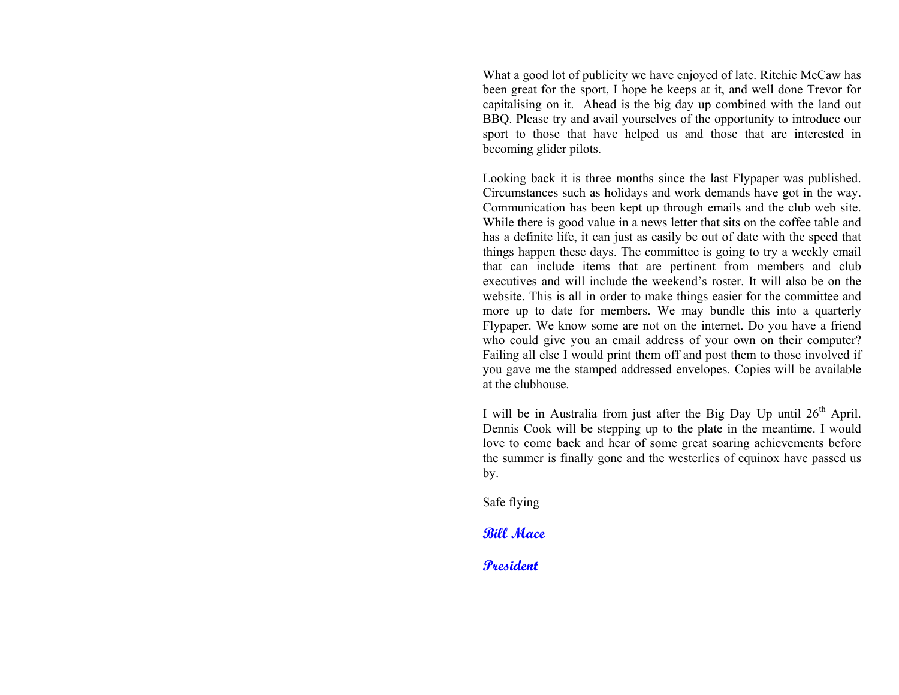What a good lot of publicity we have enjoyed of late. Ritchie McCaw has been great for the sport, I hope he keeps at it, and well done Trevor for capitalising on it. Ahead is the big day up combined with the land out BBQ. Please try and avail yourselves of the opportunity to introduce our sport to those that have helped us and those that are interested in becoming glider pilots.

Looking back it is three months since the last Flypaper was published. Circumstances such as holidays and work demands have got in the way. Communication has been kept up through emails and the club web site. While there is good value in a news letter that sits on the coffee table and has a definite life, it can just as easily be out of date with the speed that things happen these days. The committee is going to try a weekly email that can include items that are pertinent from members and club executives and will include the weekend's roster. It will also be on the website. This is all in order to make things easier for the committee and more up to date for members. We may bundle this into a quarterly Flypaper. We know some are not on the internet. Do you have a friend who could give you an email address of your own on their computer? Failing all else I would print them off and post them to those involved if you gave me the stamped addressed envelopes. Copies will be available at the clubhouse.

I will be in Australia from just after the Big Day Up until  $26<sup>th</sup>$  April. Dennis Cook will be stepping up to the plate in the meantime. I would love to come back and hear of some great soaring achievements before the summer is finally gone and the westerlies of equinox have passed us by.

Safe flying

**Bill Mace** 

**President**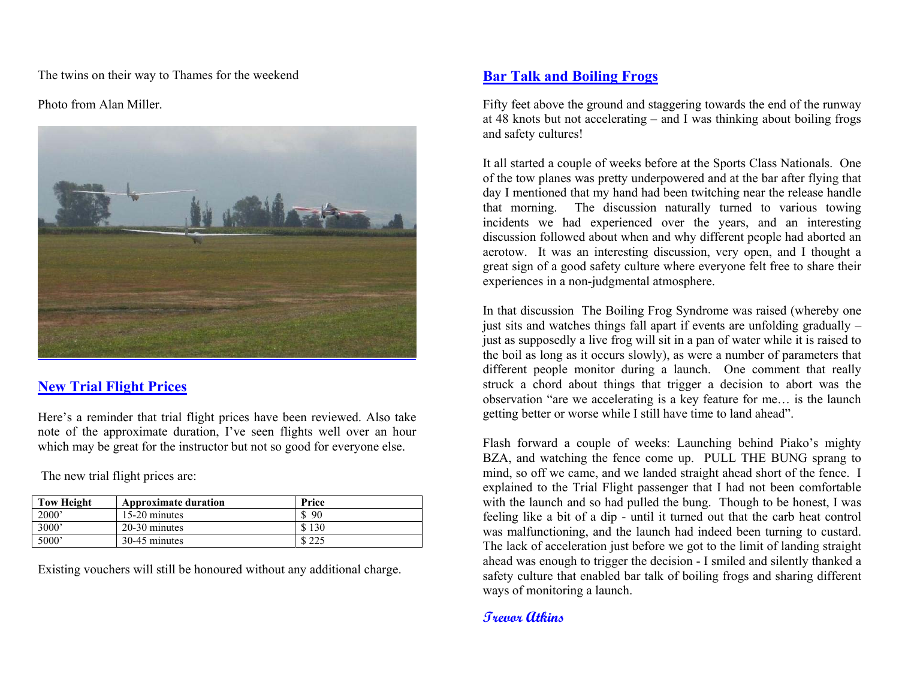The twins on their way to Thames for the weekend

Photo from Alan Miller.



## **New Trial Flight Prices**

Here's a reminder that trial flight prices have been reviewed. Also take note of the approximate duration, I've seen flights well over an hour which may be great for the instructor but not so good for everyone else.

The new trial flight prices are:

| <b>Tow Height</b> | <b>Approximate duration</b> | Price |
|-------------------|-----------------------------|-------|
| 2000'             | 15-20 minutes               | 90    |
| 3000'             | 20-30 minutes               | \$130 |
| 5000 <sup>'</sup> | 30-45 minutes               | \$225 |

Existing vouchers will still be honoured without any additional charge.

## **Bar Talk and Boiling Frogs**

Fifty feet above the ground and staggering towards the end of the runway at 48 knots but not accelerating – and I was thinking about boiling frogs and safety cultures!

It all started a couple of weeks before at the Sports Class Nationals. One of the tow planes was pretty underpowered and at the bar after flying that day I mentioned that my hand had been twitching near the release handle that morning. The discussion naturally turned to various towing incidents we had experienced over the years, and an interesting discussion followed about when and why different people had aborted an aerotow. It was an interesting discussion, very open, and I thought a great sign of a good safety culture where everyone felt free to share their experiences in a non-judgmental atmosphere.

In that discussion The Boiling Frog Syndrome was raised (whereby one just sits and watches things fall apart if events are unfolding gradually – just as supposedly a live frog will sit in a pan of water while it is raised to the boil as long as it occurs slowly), as were a number of parameters that different people monitor during a launch. One comment that really struck a chord about things that trigger a decision to abort was the observation "are we accelerating is a key feature for me… is the launch getting better or worse while I still have time to land ahead".

Flash forward a couple of weeks: Launching behind Piako's mighty BZA, and watching the fence come up. PULL THE BUNG sprang to mind, so off we came, and we landed straight ahead short of the fence. I explained to the Trial Flight passenger that I had not been comfortable with the launch and so had pulled the bung. Though to be honest, I was feeling like a bit of a dip - until it turned out that the carb heat control was malfunctioning, and the launch had indeed been turning to custard. The lack of acceleration just before we got to the limit of landing straight ahead was enough to trigger the decision - I smiled and silently thanked a safety culture that enabled bar talk of boiling frogs and sharing different ways of monitoring a launch.

### **Trevor Atkins**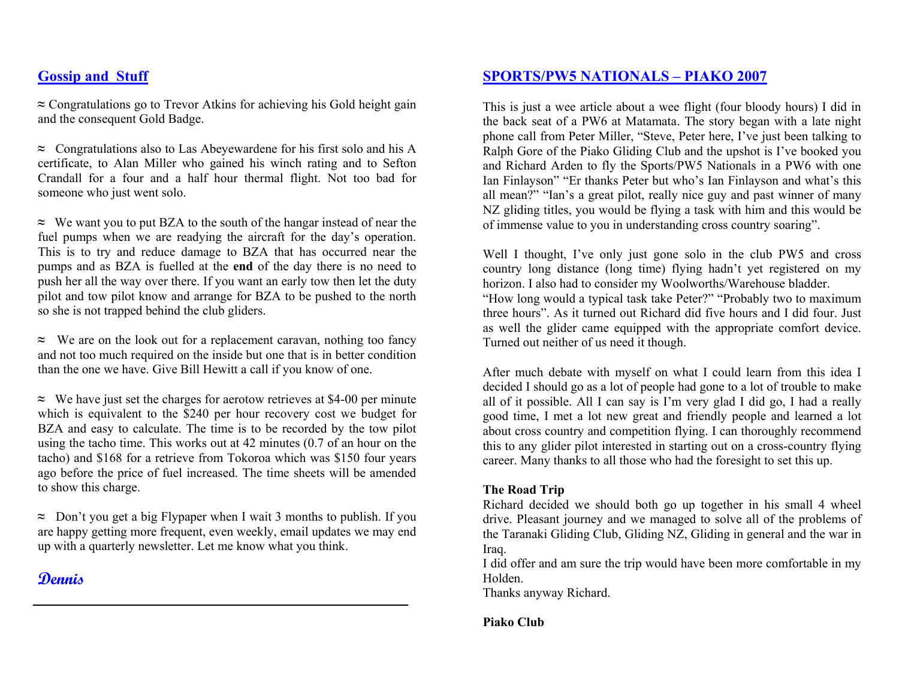## **Gossip and Stuff**

**≈** Congratulations go to Trevor Atkins for achieving his Gold height gain and the consequent Gold Badge.

**≈** Congratulations also to Las Abeyewardene for his first solo and his A certificate, to Alan Miller who gained his winch rating and to Sefton Crandall for a four and a half hour thermal flight. Not too bad for someone who just went solo.

**<sup>≈</sup>** We want you to put BZA to the south of the hangar instead of near the fuel pumps when we are readying the aircraft for the day's operation. This is to try and reduce damage to BZA that has occurred near the pumps and as BZA is fuelled at the **end** of the day there is no need to push her all the way over there. If you want an early tow then let the duty pilot and tow pilot know and arrange for BZA to be pushed to the north so she is not trapped behind the club gliders.

**≈** We are on the look out for a replacement caravan, nothing too fancy and not too much required on the inside but one that is in better condition than the one we have. Give Bill Hewitt a call if you know of one.

**<sup>≈</sup>** We have just set the charges for aerotow retrieves at \$4-00 per minute which is equivalent to the \$240 per hour recovery cost we budget for BZA and easy to calculate. The time is to be recorded by the tow pilot using the tacho time. This works out at 42 minutes (0.7 of an hour on the tacho) and \$168 for a retrieve from Tokoroa which was \$150 four years ago before the price of fuel increased. The time sheets will be amended to show this charge.

**<sup>≈</sup>** Don't you get a big Flypaper when I wait 3 months to publish. If you are happy getting more frequent, even weekly, email updates we may end up with a quarterly newsletter. Let me know what you think.

# **Dennis**

### **SPORTS/PW5 NATIONALS – PIAKO 2007**

This is just a wee article about a wee flight (four bloody hours) I did in the back seat of a PW6 at Matamata. The story began with a late night phone call from Peter Miller, "Steve, Peter here, I've just been talking to Ralph Gore of the Piako Gliding Club and the upshot is I've booked you and Richard Arden to fly the Sports/PW5 Nationals in a PW6 with one Ian Finlayson" "Er thanks Peter but who's Ian Finlayson and what's this all mean?" "Ian's a great pilot, really nice guy and past winner of many NZ gliding titles, you would be flying a task with him and this would be of immense value to you in understanding cross country soaring".

Well I thought, I've only just gone solo in the club PW5 and cross country long distance (long time) flying hadn't yet registered on my horizon. I also had to consider my Woolworths/Warehouse bladder. "How long would a typical task take Peter?" "Probably two to maximum three hours". As it turned out Richard did five hours and I did four. Just as well the glider came equipped with the appropriate comfort device. Turned out neither of us need it though.

After much debate with myself on what I could learn from this idea I decided I should go as a lot of people had gone to a lot of trouble to make all of it possible. All I can say is I'm very glad I did go, I had a really good time, I met a lot new great and friendly people and learned a lot about cross country and competition flying. I can thoroughly recommend this to any glider pilot interested in starting out on a cross-country flying career. Many thanks to all those who had the foresight to set this up.

### **The Road Trip**

Richard decided we should both go up together in his small 4 wheel drive. Pleasant journey and we managed to solve all of the problems of the Taranaki Gliding Club, Gliding NZ, Gliding in general and the war in Iraq.

I did offer and am sure the trip would have been more comfortable in my Holden.

Thanks anyway Richard.

**Piako Club**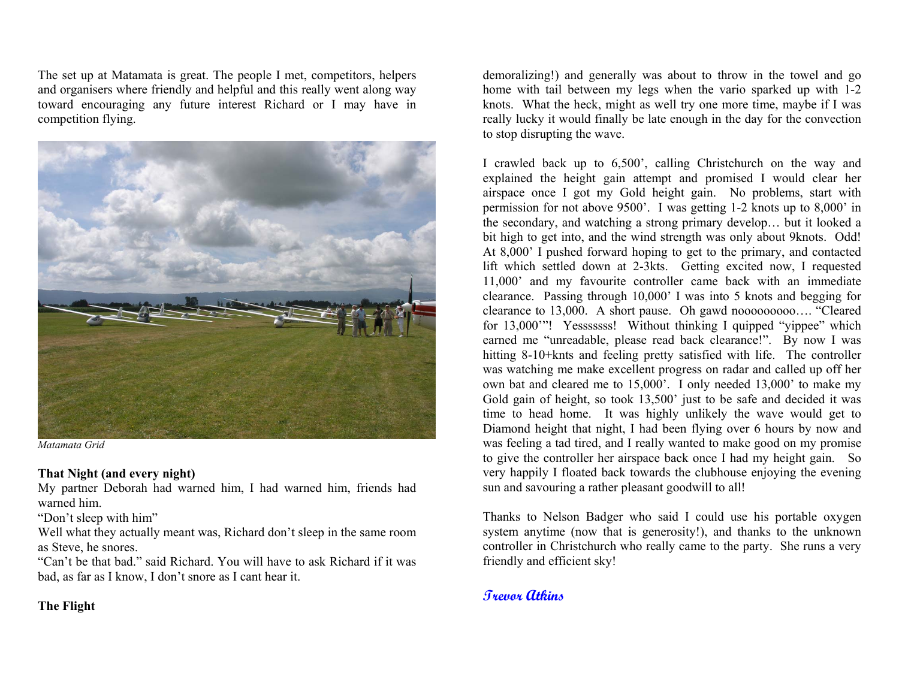The set up at Matamata is great. The people I met, competitors, helpers and organisers where friendly and helpful and this really went along way toward encouraging any future interest Richard or I may have in competition flying.



*Matamata Grid* 

#### **That Night (and every night)**

My partner Deborah had warned him, I had warned him, friends had warned him.

"Don't sleep with him"

Well what they actually meant was, Richard don't sleep in the same room as Steve, he snores.

"Can't be that bad." said Richard. You will have to ask Richard if it was bad, as far as I know, I don't snore as I cant hear it.

**The Flight** 

demoralizing!) and generally was about to throw in the towel and go home with tail between my legs when the vario sparked up with 1-2 knots. What the heck, might as well try one more time, maybe if I was really lucky it would finally be late enough in the day for the convection to stop disrupting the wave.

I crawled back up to 6,500', calling Christchurch on the way and explained the height gain attempt and promised I would clear her airspace once I got my Gold height gain. No problems, start with permission for not above 9500'. I was getting 1-2 knots up to 8,000' in the secondary, and watching a strong primary develop… but it looked a bit high to get into, and the wind strength was only about 9knots. Odd! At 8,000' I pushed forward hoping to get to the primary, and contacted lift which settled down at 2-3kts. Getting excited now, I requested 11,000' and my favourite controller came back with an immediate clearance. Passing through 10,000' I was into 5 knots and begging for clearance to 13,000. A short pause. Oh gawd nooooooooo…. "Cleared for 13,000"! Yesssssss! Without thinking I quipped "vippee" which earned me "unreadable, please read back clearance!". By now I was hitting 8-10+knts and feeling pretty satisfied with life. The controller was watching me make excellent progress on radar and called up off her own bat and cleared me to 15,000'. I only needed 13,000' to make my Gold gain of height, so took 13,500' just to be safe and decided it was time to head home. It was highly unlikely the wave would get to Diamond height that night, I had been flying over 6 hours by now and was feeling a tad tired, and I really wanted to make good on my promise to give the controller her airspace back once I had my height gain. So very happily I floated back towards the clubhouse enjoying the evening sun and savouring a rather pleasant goodwill to all!

Thanks to Nelson Badger who said I could use his portable oxygen system anytime (now that is generosity!), and thanks to the unknown controller in Christchurch who really came to the party. She runs a very friendly and efficient sky!

## **Trevor Atkins**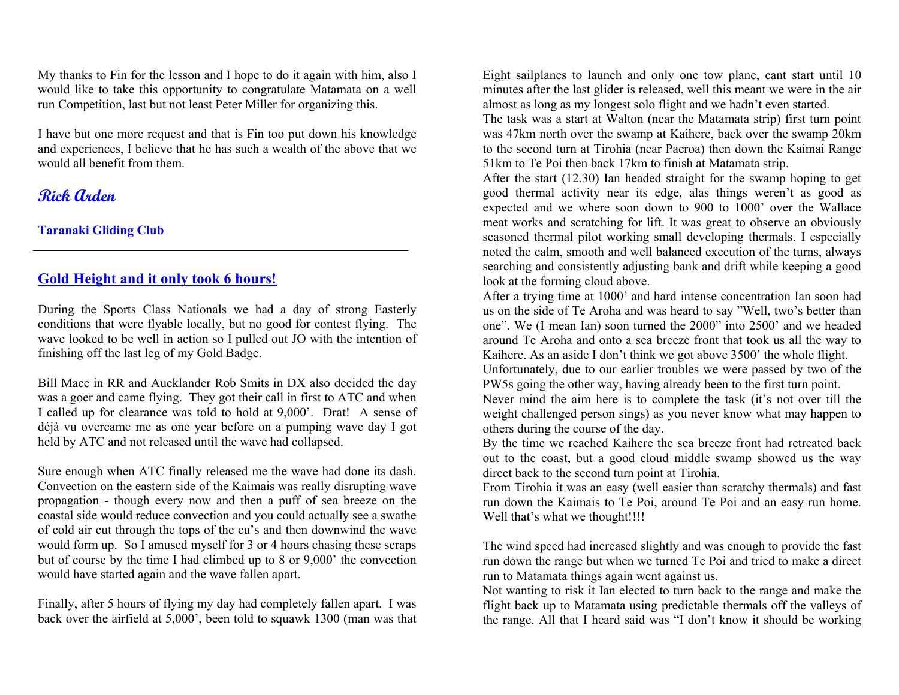My thanks to Fin for the lesson and I hope to do it again with him, also I would like to take this opportunity to congratulate Matamata on a well run Competition, last but not least Peter Miller for organizing this.

I have but one more request and that is Fin too put down his knowledge and experiences, I believe that he has such a wealth of the above that we would all benefit from them.

# **Rick Arden**

**Taranaki Gliding Club**

## **Gold Height and it only took 6 hours!**

During the Sports Class Nationals we had a day of strong Easterly conditions that were flyable locally, but no good for contest flying. The wave looked to be well in action so I pulled out JO with the intention of finishing off the last leg of my Gold Badge.

Bill Mace in RR and Aucklander Rob Smits in DX also decided the day was a goer and came flying. They got their call in first to ATC and when I called up for clearance was told to hold at 9,000'. Drat! A sense of déjà vu overcame me as one year before on a pumping wave day I got held by ATC and not released until the wave had collapsed.

Sure enough when ATC finally released me the wave had done its dash. Convection on the eastern side of the Kaimais was really disrupting wave propagation - though every now and then a puff of sea breeze on the coastal side would reduce convection and you could actually see a swathe of cold air cut through the tops of the cu's and then downwind the wave would form up. So I amused myself for 3 or 4 hours chasing these scraps but of course by the time I had climbed up to 8 or 9,000' the convection would have started again and the wave fallen apart.

Finally, after 5 hours of flying my day had completely fallen apart. I was back over the airfield at 5,000', been told to squawk 1300 (man was that Eight sailplanes to launch and only one tow plane, cant start until 10 minutes after the last glider is released, well this meant we were in the air almost as long as my longest solo flight and we hadn't even started.

The task was a start at Walton (near the Matamata strip) first turn point was 47km north over the swamp at Kaihere, back over the swamp 20km to the second turn at Tirohia (near Paeroa) then down the Kaimai Range 51km to Te Poi then back 17km to finish at Matamata strip.

After the start (12.30) Ian headed straight for the swamp hoping to get good thermal activity near its edge, alas things weren't as good as expected and we where soon down to 900 to 1000' over the Wallace meat works and scratching for lift. It was great to observe an obviously seasoned thermal pilot working small developing thermals. I especially noted the calm, smooth and well balanced execution of the turns, always searching and consistently adjusting bank and drift while keeping a good look at the forming cloud above.

After a trying time at 1000' and hard intense concentration Ian soon had us on the side of Te Aroha and was heard to say "Well, two's better than one". We (I mean Ian) soon turned the 2000" into 2500' and we headed around Te Aroha and onto a sea breeze front that took us all the way to Kaihere. As an aside I don't think we got above 3500' the whole flight. Unfortunately, due to our earlier troubles we were passed by two of the PW5s going the other way, having already been to the first turn point.

Never mind the aim here is to complete the task (it's not over till the weight challenged person sings) as you never know what may happen to others during the course of the day.

By the time we reached Kaihere the sea breeze front had retreated back out to the coast, but a good cloud middle swamp showed us the way direct back to the second turn point at Tirohia.

From Tirohia it was an easy (well easier than scratchy thermals) and fast run down the Kaimais to Te Poi, around Te Poi and an easy run home. Well that's what we thought!!!!

The wind speed had increased slightly and was enough to provide the fast run down the range but when we turned Te Poi and tried to make a direct run to Matamata things again went against us.

Not wanting to risk it Ian elected to turn back to the range and make the flight back up to Matamata using predictable thermals off the valleys of the range. All that I heard said was "I don't know it should be working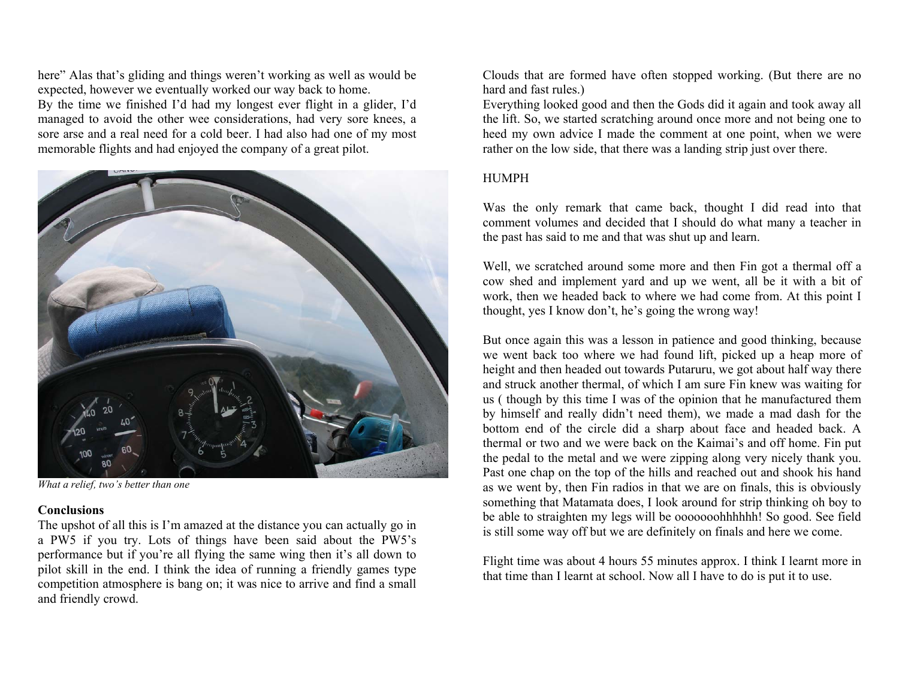here" Alas that's gliding and things weren't working as well as would be expected, however we eventually worked our way back to home. By the time we finished I'd had my longest ever flight in a glider, I'd managed to avoid the other wee considerations, had very sore knees, a sore arse and a real need for a cold beer. I had also had one of my most memorable flights and had enjoyed the company of a great pilot.



*What a relief, two's better than one* 

#### **Conclusions**

The upshot of all this is I'm amazed at the distance you can actually go in a PW5 if you try. Lots of things have been said about the PW5's performance but if you're all flying the same wing then it's all down to pilot skill in the end. I think the idea of running a friendly games type competition atmosphere is bang on; it was nice to arrive and find a small and friendly crowd.

Clouds that are formed have often stopped working. (But there are no hard and fast rules.)

Everything looked good and then the Gods did it again and took away all the lift. So, we started scratching around once more and not being one to heed my own advice I made the comment at one point, when we were rather on the low side, that there was a landing strip just over there.

### HUMPH

Was the only remark that came back, thought I did read into that comment volumes and decided that I should do what many a teacher in the past has said to me and that was shut up and learn.

Well, we scratched around some more and then Fin got a thermal off a cow shed and implement yard and up we went, all be it with a bit of work, then we headed back to where we had come from. At this point I thought, yes I know don't, he's going the wrong way!

But once again this was a lesson in patience and good thinking, because we went back too where we had found lift, picked up a heap more of height and then headed out towards Putaruru, we got about half way there and struck another thermal, of which I am sure Fin knew was waiting for us ( though by this time I was of the opinion that he manufactured them by himself and really didn't need them), we made a mad dash for the bottom end of the circle did a sharp about face and headed back. A thermal or two and we were back on the Kaimai's and off home. Fin put the pedal to the metal and we were zipping along very nicely thank you. Past one chap on the top of the hills and reached out and shook his hand as we went by, then Fin radios in that we are on finals, this is obviously something that Matamata does, I look around for strip thinking oh boy to be able to straighten my legs will be ooooooohhhhhh! So good. See field is still some way off but we are definitely on finals and here we come.

Flight time was about 4 hours 55 minutes approx. I think I learnt more in that time than I learnt at school. Now all I have to do is put it to use.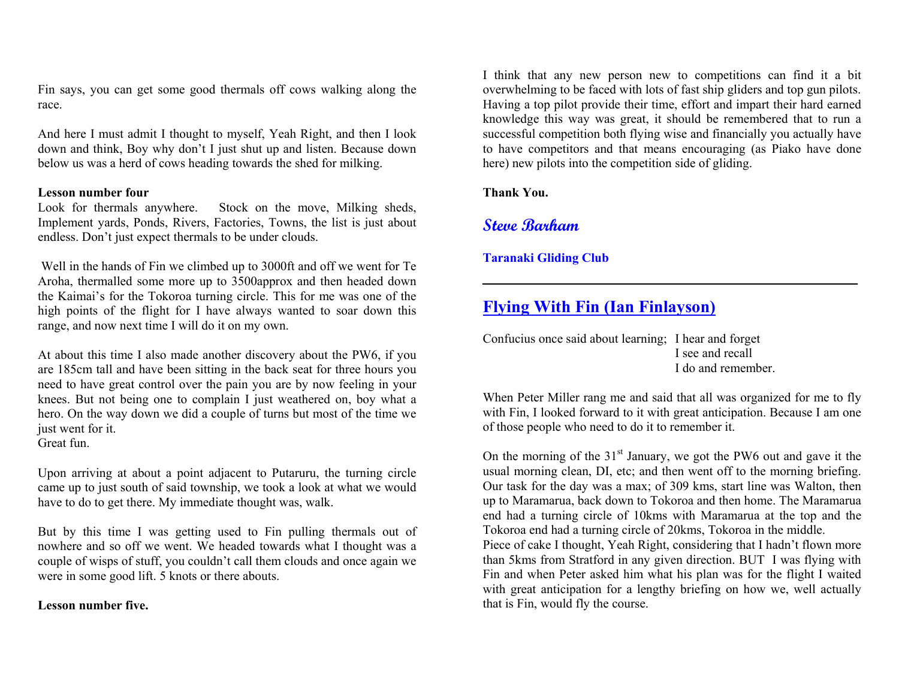Fin says, you can get some good thermals off cows walking along the race.

And here I must admit I thought to myself, Yeah Right, and then I look down and think, Boy why don't I just shut up and listen. Because down below us was a herd of cows heading towards the shed for milking.

#### **Lesson number four**

Look for thermals anywhere. Stock on the move, Milking sheds, Implement yards, Ponds, Rivers, Factories, Towns, the list is just about endless. Don't just expect thermals to be under clouds.

 Well in the hands of Fin we climbed up to 3000ft and off we went for Te Aroha, thermalled some more up to 3500approx and then headed down the Kaimai's for the Tokoroa turning circle. This for me was one of the high points of the flight for I have always wanted to soar down this range, and now next time I will do it on my own.

At about this time I also made another discovery about the PW6, if you are 185cm tall and have been sitting in the back seat for three hours you need to have great control over the pain you are by now feeling in your knees. But not being one to complain I just weathered on, boy what a hero. On the way down we did a couple of turns but most of the time we just went for it.

Great fun.

Upon arriving at about a point adjacent to Putaruru, the turning circle came up to just south of said township, we took a look at what we would have to do to get there. My immediate thought was, walk.

But by this time I was getting used to Fin pulling thermals out of nowhere and so off we went. We headed towards what I thought was a couple of wisps of stuff, you couldn't call them clouds and once again we were in some good lift. 5 knots or there abouts.

#### **Lesson number five.**

I think that any new person new to competitions can find it a bit overwhelming to be faced with lots of fast ship gliders and top gun pilots. Having a top pilot provide their time, effort and impart their hard earned knowledge this way was great, it should be remembered that to run a successful competition both flying wise and financially you actually have to have competitors and that means encouraging (as Piako have done here) new pilots into the competition side of gliding.

**Thank You.** 

## **Steve Barham**

### **Taranaki Gliding Club**

# **Flying With Fin (Ian Finlayson)**

Confucius once said about learning; I hear and forget I see and recall I do and remember.

When Peter Miller rang me and said that all was organized for me to fly with Fin, I looked forward to it with great anticipation. Because I am one of those people who need to do it to remember it.

On the morning of the  $31<sup>st</sup>$  January, we got the PW6 out and gave it the usual morning clean, DI, etc; and then went off to the morning briefing. Our task for the day was a max; of 309 kms, start line was Walton, then up to Maramarua, back down to Tokoroa and then home. The Maramarua end had a turning circle of 10kms with Maramarua at the top and the Tokoroa end had a turning circle of 20kms, Tokoroa in the middle.

Piece of cake I thought, Yeah Right, considering that I hadn't flown more than 5kms from Stratford in any given direction. BUT I was flying with Fin and when Peter asked him what his plan was for the flight I waited with great anticipation for a lengthy briefing on how we, well actually that is Fin, would fly the course.